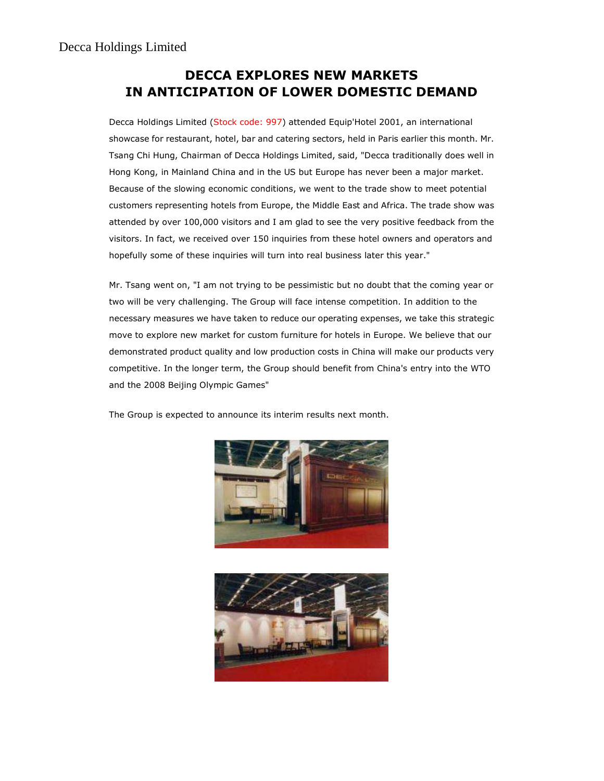## DECCA EXPLORES NEW MARKETS IN ANTICIPATION OF LOWER DOMESTIC DEMAND

Decca Holdings Limited (Stock code: 997) attended Equip'Hotel 2001, an international showcase for restaurant, hotel, bar and catering sectors, held in Paris earlier this month. Mr. Tsang Chi Hung, Chairman of Decca Holdings Limited, said, "Decca traditionally does well in Hong Kong, in Mainland China and in the US but Europe has never been a major market. Because of the slowing economic conditions, we went to the trade show to meet potential customers representing hotels from Europe, the Middle East and Africa. The trade show was attended by over 100,000 visitors and I am glad to see the very positive feedback from the visitors. In fact, we received over 150 inquiries from these hotel owners and operators and hopefully some of these inquiries will turn into real business later this year."

Mr. Tsang went on, "I am not trying to be pessimistic but no doubt that the coming year or two will be very challenging. The Group will face intense competition. In addition to the necessary measures we have taken to reduce our operating expenses, we take this strategic move to explore new market for custom furniture for hotels in Europe. We believe that our demonstrated product quality and low production costs in China will make our products very competitive. In the longer term, the Group should benefit from China's entry into the WTO and the 2008 Beijing Olympic Games"

The Group is expected to announce its interim results next month.